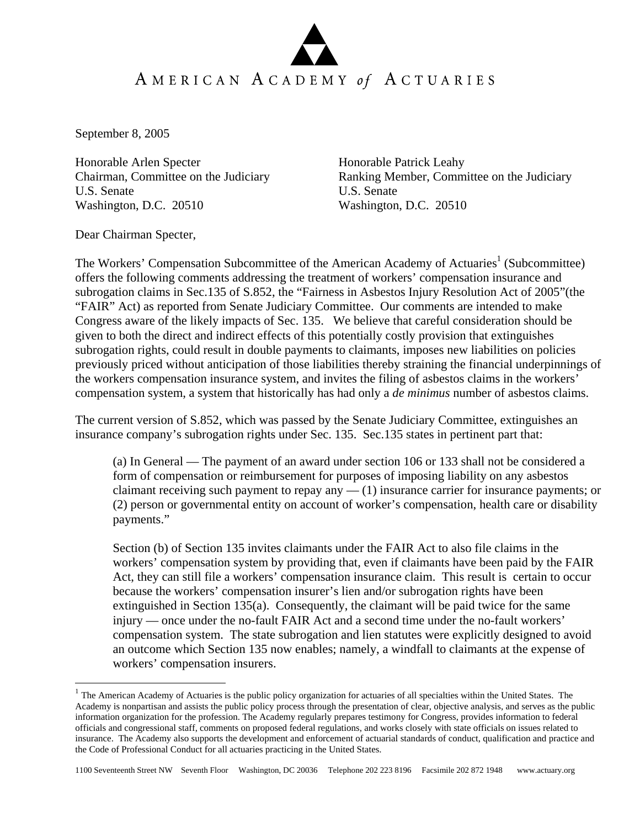September 8, 2005

Honorable Arlen Specter Honorable Patrick Leahy U.S. Senate U.S. Senate Washington, D.C. 20510 Washington, D.C. 20510

Chairman, Committee on the Judiciary Ranking Member, Committee on the Judiciary

Dear Chairman Specter,

1

The Workers' Compensation Subcommittee of the American Academy of Actuaries<sup>1</sup> (Subcommittee) offers the following comments addressing the treatment of workers' compensation insurance and subrogation claims in Sec.135 of S.852, the "Fairness in Asbestos Injury Resolution Act of 2005"(the "FAIR" Act) as reported from Senate Judiciary Committee. Our comments are intended to make Congress aware of the likely impacts of Sec. 135. We believe that careful consideration should be given to both the direct and indirect effects of this potentially costly provision that extinguishes subrogation rights, could result in double payments to claimants, imposes new liabilities on policies previously priced without anticipation of those liabilities thereby straining the financial underpinnings of the workers compensation insurance system, and invites the filing of asbestos claims in the workers' compensation system, a system that historically has had only a *de minimus* number of asbestos claims.

The current version of S.852, which was passed by the Senate Judiciary Committee, extinguishes an insurance company's subrogation rights under Sec. 135. Sec.135 states in pertinent part that:

(a) In General — The payment of an award under section 106 or 133 shall not be considered a form of compensation or reimbursement for purposes of imposing liability on any asbestos claimant receiving such payment to repay any  $-$  (1) insurance carrier for insurance payments; or (2) person or governmental entity on account of worker's compensation, health care or disability payments."

Section (b) of Section 135 invites claimants under the FAIR Act to also file claims in the workers' compensation system by providing that, even if claimants have been paid by the FAIR Act, they can still file a workers' compensation insurance claim. This result is certain to occur because the workers' compensation insurer's lien and/or subrogation rights have been extinguished in Section 135(a). Consequently, the claimant will be paid twice for the same injury — once under the no-fault FAIR Act and a second time under the no-fault workers' compensation system. The state subrogation and lien statutes were explicitly designed to avoid an outcome which Section 135 now enables; namely, a windfall to claimants at the expense of workers' compensation insurers.

 $1$  The American Academy of Actuaries is the public policy organization for actuaries of all specialties within the United States. The Academy is nonpartisan and assists the public policy process through the presentation of clear, objective analysis, and serves as the public information organization for the profession. The Academy regularly prepares testimony for Congress, provides information to federal officials and congressional staff, comments on proposed federal regulations, and works closely with state officials on issues related to insurance. The Academy also supports the development and enforcement of actuarial standards of conduct, qualification and practice and the Code of Professional Conduct for all actuaries practicing in the United States.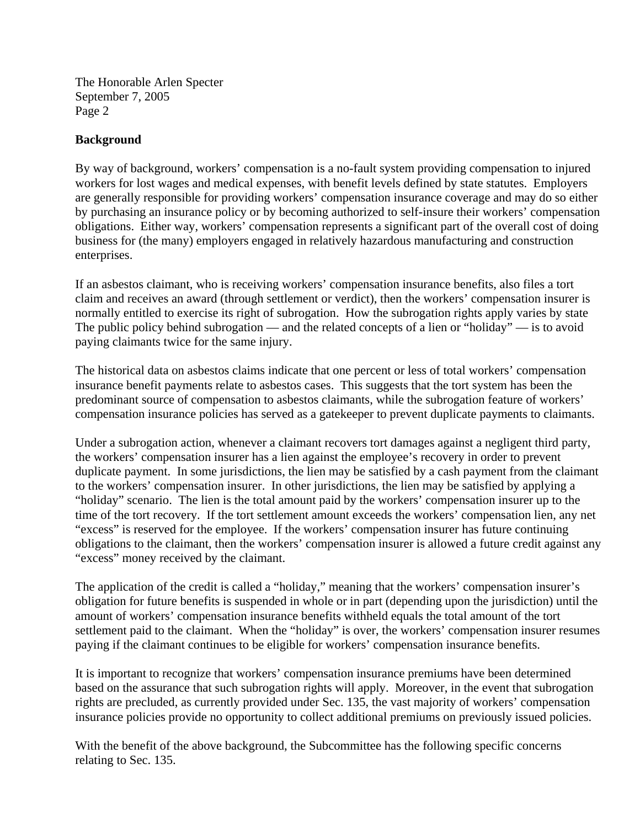The Honorable Arlen Specter September 7, 2005 Page 2

## **Background**

By way of background, workers' compensation is a no-fault system providing compensation to injured workers for lost wages and medical expenses, with benefit levels defined by state statutes. Employers are generally responsible for providing workers' compensation insurance coverage and may do so either by purchasing an insurance policy or by becoming authorized to self-insure their workers' compensation obligations. Either way, workers' compensation represents a significant part of the overall cost of doing business for (the many) employers engaged in relatively hazardous manufacturing and construction enterprises.

If an asbestos claimant, who is receiving workers' compensation insurance benefits, also files a tort claim and receives an award (through settlement or verdict), then the workers' compensation insurer is normally entitled to exercise its right of subrogation. How the subrogation rights apply varies by state The public policy behind subrogation — and the related concepts of a lien or "holiday" — is to avoid paying claimants twice for the same injury.

The historical data on asbestos claims indicate that one percent or less of total workers' compensation insurance benefit payments relate to asbestos cases. This suggests that the tort system has been the predominant source of compensation to asbestos claimants, while the subrogation feature of workers' compensation insurance policies has served as a gatekeeper to prevent duplicate payments to claimants.

Under a subrogation action, whenever a claimant recovers tort damages against a negligent third party, the workers' compensation insurer has a lien against the employee's recovery in order to prevent duplicate payment. In some jurisdictions, the lien may be satisfied by a cash payment from the claimant to the workers' compensation insurer. In other jurisdictions, the lien may be satisfied by applying a "holiday" scenario. The lien is the total amount paid by the workers' compensation insurer up to the time of the tort recovery. If the tort settlement amount exceeds the workers' compensation lien, any net "excess" is reserved for the employee. If the workers' compensation insurer has future continuing obligations to the claimant, then the workers' compensation insurer is allowed a future credit against any "excess" money received by the claimant.

The application of the credit is called a "holiday," meaning that the workers' compensation insurer's obligation for future benefits is suspended in whole or in part (depending upon the jurisdiction) until the amount of workers' compensation insurance benefits withheld equals the total amount of the tort settlement paid to the claimant. When the "holiday" is over, the workers' compensation insurer resumes paying if the claimant continues to be eligible for workers' compensation insurance benefits.

It is important to recognize that workers' compensation insurance premiums have been determined based on the assurance that such subrogation rights will apply. Moreover, in the event that subrogation rights are precluded, as currently provided under Sec. 135, the vast majority of workers' compensation insurance policies provide no opportunity to collect additional premiums on previously issued policies.

With the benefit of the above background, the Subcommittee has the following specific concerns relating to Sec. 135.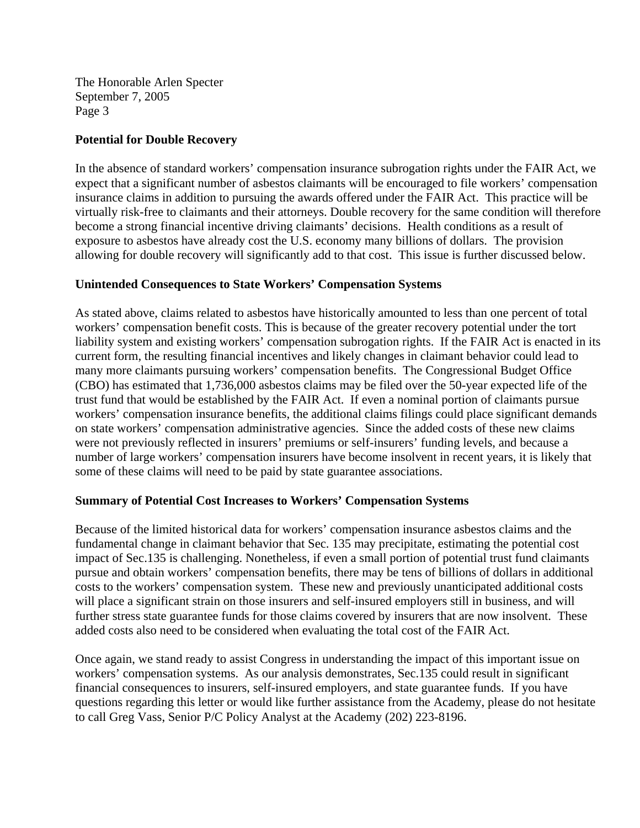The Honorable Arlen Specter September 7, 2005 Page 3

## **Potential for Double Recovery**

In the absence of standard workers' compensation insurance subrogation rights under the FAIR Act, we expect that a significant number of asbestos claimants will be encouraged to file workers' compensation insurance claims in addition to pursuing the awards offered under the FAIR Act. This practice will be virtually risk-free to claimants and their attorneys. Double recovery for the same condition will therefore become a strong financial incentive driving claimants' decisions. Health conditions as a result of exposure to asbestos have already cost the U.S. economy many billions of dollars. The provision allowing for double recovery will significantly add to that cost. This issue is further discussed below.

## **Unintended Consequences to State Workers' Compensation Systems**

As stated above, claims related to asbestos have historically amounted to less than one percent of total workers' compensation benefit costs. This is because of the greater recovery potential under the tort liability system and existing workers' compensation subrogation rights. If the FAIR Act is enacted in its current form, the resulting financial incentives and likely changes in claimant behavior could lead to many more claimants pursuing workers' compensation benefits. The Congressional Budget Office (CBO) has estimated that 1,736,000 asbestos claims may be filed over the 50-year expected life of the trust fund that would be established by the FAIR Act. If even a nominal portion of claimants pursue workers' compensation insurance benefits, the additional claims filings could place significant demands on state workers' compensation administrative agencies. Since the added costs of these new claims were not previously reflected in insurers' premiums or self-insurers' funding levels, and because a number of large workers' compensation insurers have become insolvent in recent years, it is likely that some of these claims will need to be paid by state guarantee associations.

## **Summary of Potential Cost Increases to Workers' Compensation Systems**

Because of the limited historical data for workers' compensation insurance asbestos claims and the fundamental change in claimant behavior that Sec. 135 may precipitate, estimating the potential cost impact of Sec.135 is challenging. Nonetheless, if even a small portion of potential trust fund claimants pursue and obtain workers' compensation benefits, there may be tens of billions of dollars in additional costs to the workers' compensation system. These new and previously unanticipated additional costs will place a significant strain on those insurers and self-insured employers still in business, and will further stress state guarantee funds for those claims covered by insurers that are now insolvent. These added costs also need to be considered when evaluating the total cost of the FAIR Act.

Once again, we stand ready to assist Congress in understanding the impact of this important issue on workers' compensation systems. As our analysis demonstrates, Sec.135 could result in significant financial consequences to insurers, self-insured employers, and state guarantee funds. If you have questions regarding this letter or would like further assistance from the Academy, please do not hesitate to call Greg Vass, Senior P/C Policy Analyst at the Academy (202) 223-8196.